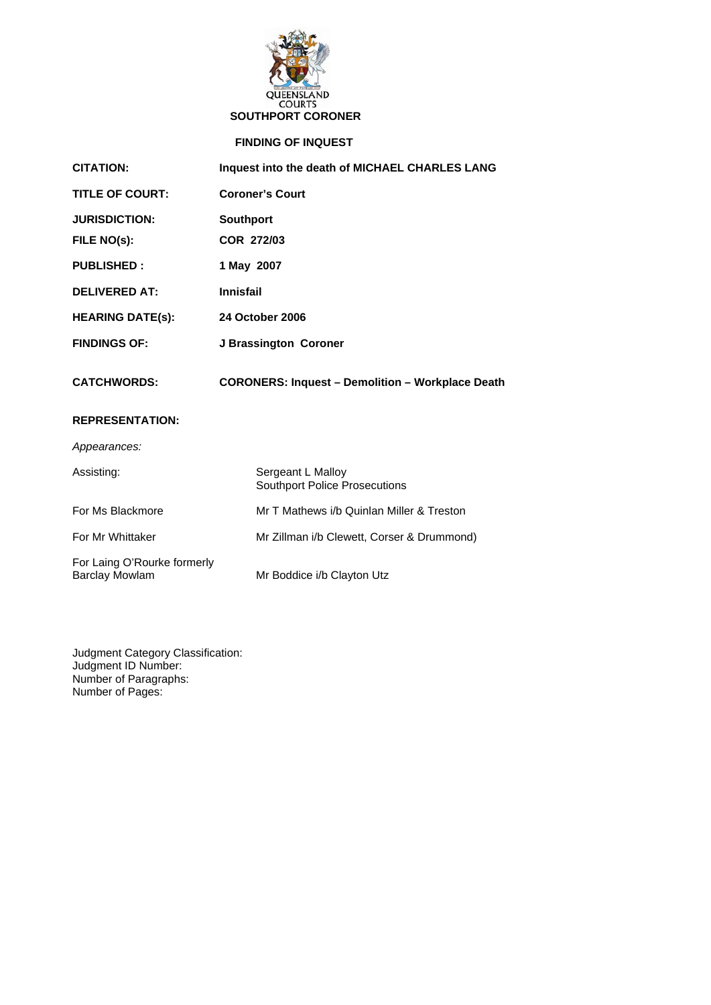

# **SOUTHPORT CORONER**

# **FINDING OF INQUEST**

| <b>CITATION:</b>                                     | Inquest into the death of MICHAEL CHARLES LANG            |
|------------------------------------------------------|-----------------------------------------------------------|
| <b>TITLE OF COURT:</b>                               | <b>Coroner's Court</b>                                    |
| <b>JURISDICTION:</b>                                 | <b>Southport</b>                                          |
| FILE NO(s):                                          | <b>COR 272/03</b>                                         |
| <b>PUBLISHED:</b>                                    | 1 May 2007                                                |
| <b>DELIVERED AT:</b>                                 | <b>Innisfail</b>                                          |
| <b>HEARING DATE(s):</b>                              | <b>24 October 2006</b>                                    |
| <b>FINDINGS OF:</b>                                  | J Brassington Coroner                                     |
| <b>CATCHWORDS:</b>                                   | <b>CORONERS: Inquest - Demolition - Workplace Death</b>   |
| <b>REPRESENTATION:</b>                               |                                                           |
| Appearances:                                         |                                                           |
| Assisting:                                           | Sergeant L Malloy<br><b>Southport Police Prosecutions</b> |
| For Ms Blackmore                                     | Mr T Mathews i/b Quinlan Miller & Treston                 |
| For Mr Whittaker                                     | Mr Zillman i/b Clewett, Corser & Drummond)                |
| For Laing O'Rourke formerly<br><b>Barclay Mowlam</b> | Mr Boddice i/b Clayton Utz                                |

Judgment Category Classification: Judgment ID Number: Number of Paragraphs: Number of Pages: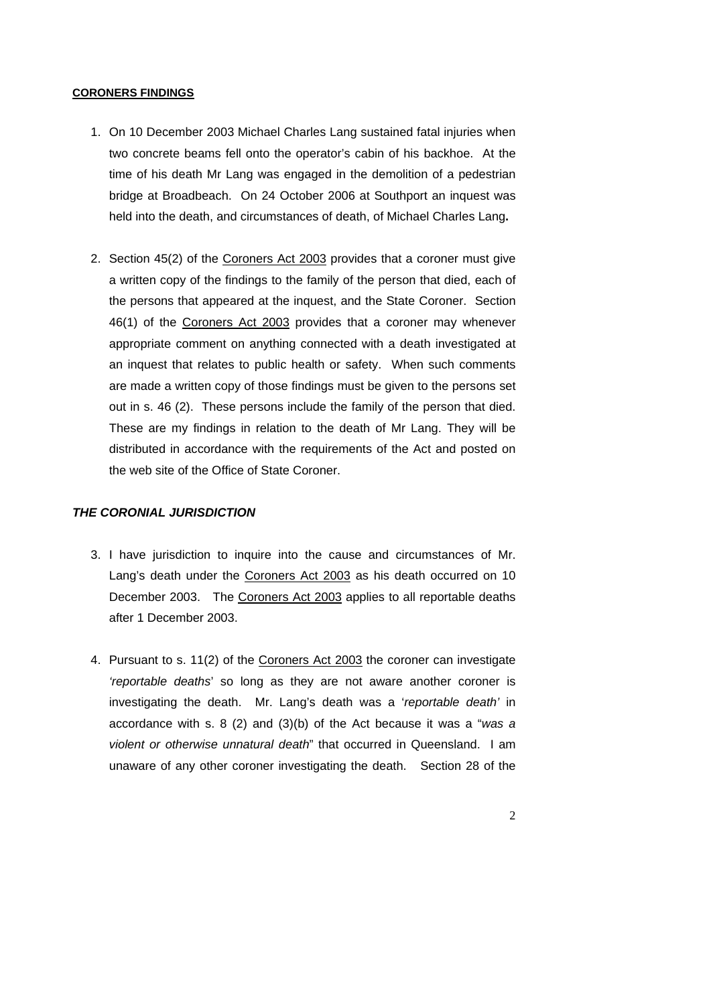#### **CORONERS FINDINGS**

- 1. On 10 December 2003 Michael Charles Lang sustained fatal injuries when two concrete beams fell onto the operator's cabin of his backhoe. At the time of his death Mr Lang was engaged in the demolition of a pedestrian bridge at Broadbeach. On 24 October 2006 at Southport an inquest was held into the death, and circumstances of death, of Michael Charles Lang**.**
- 2. Section 45(2) of the Coroners Act 2003 provides that a coroner must give a written copy of the findings to the family of the person that died, each of the persons that appeared at the inquest, and the State Coroner. Section 46(1) of the Coroners Act 2003 provides that a coroner may whenever appropriate comment on anything connected with a death investigated at an inquest that relates to public health or safety. When such comments are made a written copy of those findings must be given to the persons set out in s. 46 (2). These persons include the family of the person that died. These are my findings in relation to the death of Mr Lang. They will be distributed in accordance with the requirements of the Act and posted on the web site of the Office of State Coroner.

#### *THE CORONIAL JURISDICTION*

- 3. I have jurisdiction to inquire into the cause and circumstances of Mr. Lang's death under the Coroners Act 2003 as his death occurred on 10 December 2003. The Coroners Act 2003 applies to all reportable deaths after 1 December 2003.
- 4. Pursuant to s. 11(2) of the Coroners Act 2003 the coroner can investigate *'reportable deaths*' so long as they are not aware another coroner is investigating the death. Mr. Lang's death was a '*reportable death'* in accordance with s. 8 (2) and (3)(b) of the Act because it was a "*was a violent or otherwise unnatural death*" that occurred in Queensland. I am unaware of any other coroner investigating the death. Section 28 of the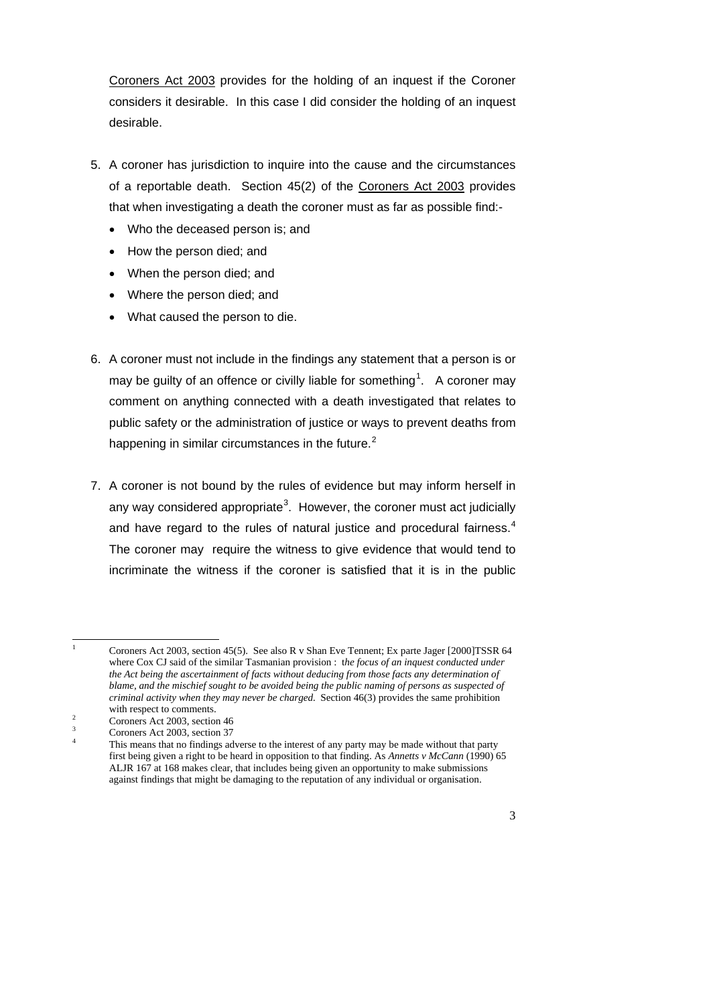Coroners Act 2003 provides for the holding of an inquest if the Coroner considers it desirable. In this case I did consider the holding of an inquest desirable.

- 5. A coroner has jurisdiction to inquire into the cause and the circumstances of a reportable death. Section 45(2) of the Coroners Act 2003 provides that when investigating a death the coroner must as far as possible find:-
	- Who the deceased person is; and
	- How the person died; and
	- When the person died; and
	- Where the person died; and
	- What caused the person to die.
- 6. A coroner must not include in the findings any statement that a person is or may be guilty of an offence or civilly liable for something<sup>[1](#page-2-0)</sup>. A coroner may comment on anything connected with a death investigated that relates to public safety or the administration of justice or ways to prevent deaths from happening in similar circumstances in the future. $<sup>2</sup>$  $<sup>2</sup>$  $<sup>2</sup>$ </sup>
- 7. A coroner is not bound by the rules of evidence but may inform herself in any way considered appropriate<sup>[3](#page-2-2)</sup>. However, the coroner must act judicially and have regard to the rules of natural justice and procedural fairness. $4$ The coroner may require the witness to give evidence that would tend to incriminate the witness if the coroner is satisfied that it is in the public

 $\frac{1}{1}$  Coroners Act 2003, section 45(5). See also R v Shan Eve Tennent; Ex parte Jager [2000]TSSR 64 where Cox CJ said of the similar Tasmanian provision : t*he focus of an inquest conducted under the Act being the ascertainment of facts without deducing from those facts any determination of blame, and the mischief sought to be avoided being the public naming of persons as suspected of criminal activity when they may never be charged.* Section 46(3) provides the same prohibition with respect to comments.

Coroners Act 2003, section 46

<sup>3</sup> Coroners Act 2003, section 37

<span id="page-2-3"></span><span id="page-2-2"></span><span id="page-2-1"></span><span id="page-2-0"></span><sup>4</sup> This means that no findings adverse to the interest of any party may be made without that party first being given a right to be heard in opposition to that finding. As *Annetts v McCann* (1990) 65 ALJR 167 at 168 makes clear, that includes being given an opportunity to make submissions against findings that might be damaging to the reputation of any individual or organisation.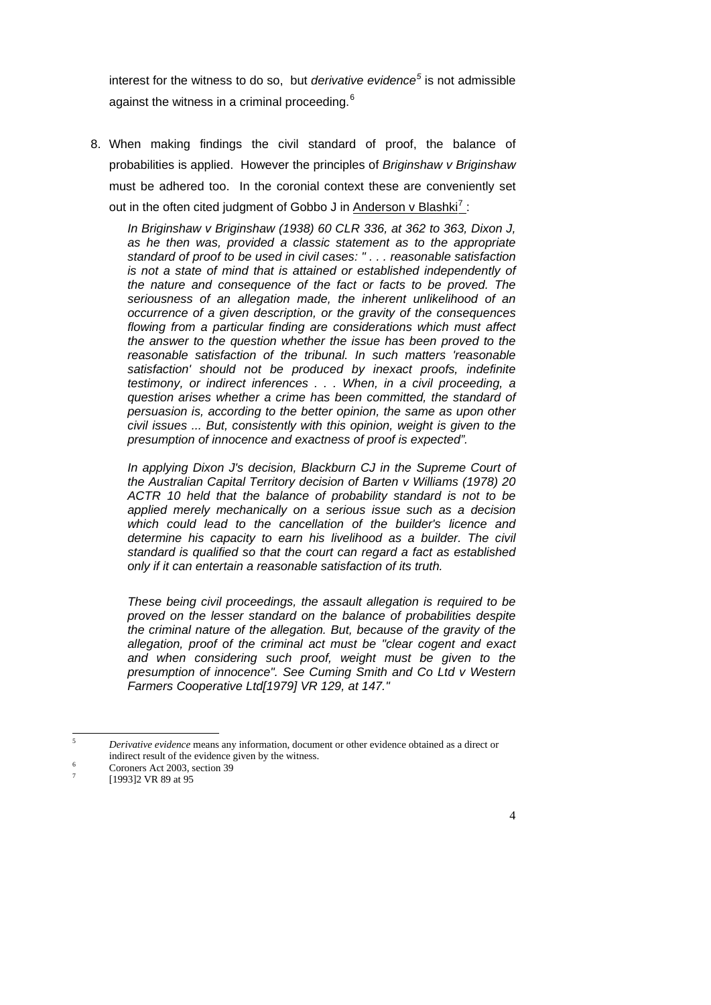interest for the witness to do so, but *derivative evidence[5](#page-3-0)* is not admissible against the witness in a criminal proceeding.<sup>[6](#page-3-1)</sup>

8. When making findings the civil standard of proof, the balance of probabilities is applied. However the principles of *Briginshaw v Briginshaw*  must be adhered too. In the coronial context these are conveniently set out in the often cited judgment of Gobbo J in Anderson v Blashki<sup>[7](#page-3-2)</sup>:

*In Briginshaw v Briginshaw (1938) 60 CLR 336, at 362 to 363, Dixon J, as he then was, provided a classic statement as to the appropriate standard of proof to be used in civil cases: " . . . reasonable satisfaction is not a state of mind that is attained or established independently of the nature and consequence of the fact or facts to be proved. The seriousness of an allegation made, the inherent unlikelihood of an occurrence of a given description, or the gravity of the consequences flowing from a particular finding are considerations which must affect the answer to the question whether the issue has been proved to the reasonable satisfaction of the tribunal. In such matters 'reasonable satisfaction' should not be produced by inexact proofs, indefinite testimony, or indirect inferences . . . When, in a civil proceeding, a question arises whether a crime has been committed, the standard of persuasion is, according to the better opinion, the same as upon other civil issues ... But, consistently with this opinion, weight is given to the presumption of innocence and exactness of proof is expected".* 

 *In applying Dixon J's decision, Blackburn CJ in the Supreme Court of the Australian Capital Territory decision of Barten v Williams (1978) 20 ACTR 10 held that the balance of probability standard is not to be applied merely mechanically on a serious issue such as a decision which could lead to the cancellation of the builder's licence and*  determine his capacity to earn his livelihood as a builder. The civil *standard is qualified so that the court can regard a fact as established only if it can entertain a reasonable satisfaction of its truth.* 

 *These being civil proceedings, the assault allegation is required to be proved on the lesser standard on the balance of probabilities despite the criminal nature of the allegation. But, because of the gravity of the allegation, proof of the criminal act must be "clear cogent and exact and when considering such proof, weight must be given to the presumption of innocence". See Cuming Smith and Co Ltd v Western Farmers Cooperative Ltd[1979] VR 129, at 147."* 

 $\overline{5}$ <sup>5</sup> *Derivative evidence* means any information, document or other evidence obtained as a direct or indirect result of the evidence given by the witness.

Coroners Act 2003, section 39

<span id="page-3-2"></span><span id="page-3-1"></span><span id="page-3-0"></span><sup>7</sup> [1993]2 VR 89 at 95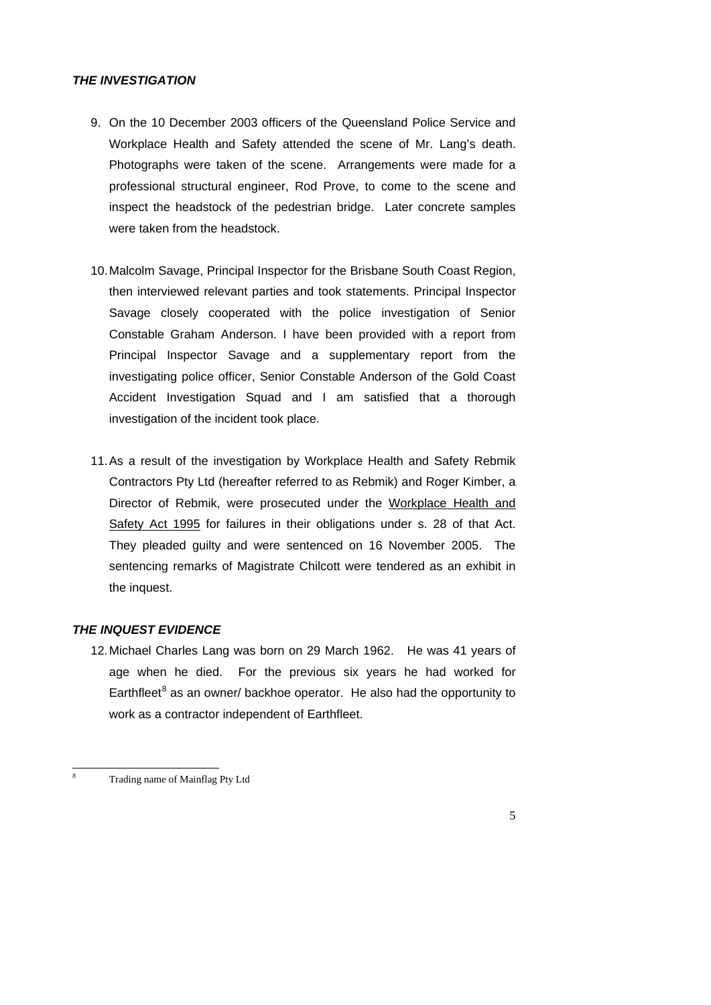# *THE INVESTIGATION*

- 9. On the 10 December 2003 officers of the Queensland Police Service and Workplace Health and Safety attended the scene of Mr. Lang's death. Photographs were taken of the scene. Arrangements were made for a professional structural engineer, Rod Prove, to come to the scene and inspect the headstock of the pedestrian bridge. Later concrete samples were taken from the headstock.
- 10. Malcolm Savage, Principal Inspector for the Brisbane South Coast Region, then interviewed relevant parties and took statements. Principal Inspector Savage closely cooperated with the police investigation of Senior Constable Graham Anderson. I have been provided with a report from Principal Inspector Savage and a supplementary report from the investigating police officer, Senior Constable Anderson of the Gold Coast Accident Investigation Squad and I am satisfied that a thorough investigation of the incident took place.
- 11. As a result of the investigation by Workplace Health and Safety Rebmik Contractors Pty Ltd (hereafter referred to as Rebmik) and Roger Kimber, a Director of Rebmik, were prosecuted under the Workplace Health and Safety Act 1995 for failures in their obligations under s. 28 of that Act. They pleaded guilty and were sentenced on 16 November 2005. The sentencing remarks of Magistrate Chilcott were tendered as an exhibit in the inquest.

#### *THE INQUEST EVIDENCE*

12. Michael Charles Lang was born on 29 March 1962. He was 41 years of age when he died. For the previous six years he had worked for Earthfleet<sup>[8](#page-4-0)</sup> as an owner/ backhoe operator. He also had the opportunity to work as a contractor independent of Earthfleet.

<span id="page-4-0"></span><sup>-</sup>8 Trading name of Mainflag Pty Ltd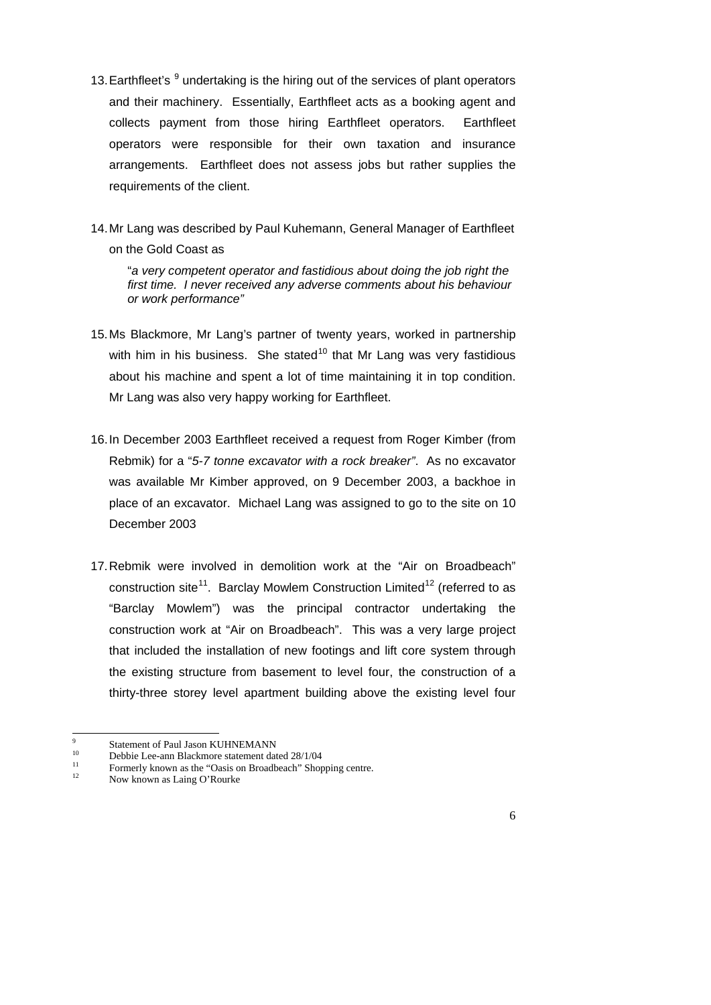- 13. Earthfleet's <sup>[9](#page-5-0)</sup> undertaking is the hiring out of the services of plant operators and their machinery. Essentially, Earthfleet acts as a booking agent and collects payment from those hiring Earthfleet operators. Earthfleet operators were responsible for their own taxation and insurance arrangements. Earthfleet does not assess jobs but rather supplies the requirements of the client.
- 14. Mr Lang was described by Paul Kuhemann, General Manager of Earthfleet on the Gold Coast as

 "*a very competent operator and fastidious about doing the job right the first time. I never received any adverse comments about his behaviour or work performance"* 

- 15. Ms Blackmore, Mr Lang's partner of twenty years, worked in partnership with him in his business. She stated<sup>[10](#page-5-1)</sup> that Mr Lang was very fastidious about his machine and spent a lot of time maintaining it in top condition. Mr Lang was also very happy working for Earthfleet.
- 16. In December 2003 Earthfleet received a request from Roger Kimber (from Rebmik) for a "*5-7 tonne excavator with a rock breaker"*. As no excavator was available Mr Kimber approved, on 9 December 2003, a backhoe in place of an excavator. Michael Lang was assigned to go to the site on 10 December 2003
- 17. Rebmik were involved in demolition work at the "Air on Broadbeach" construction site<sup>11</sup>. Barclay Mowlem Construction Limited<sup>12</sup> (referred to as "Barclay Mowlem") was the principal contractor undertaking the construction work at "Air on Broadbeach". This was a very large project that included the installation of new footings and lift core system through the existing structure from basement to level four, the construction of a thirty-three storey level apartment building above the existing level four

<sup>-&</sup>lt;br>9  $\frac{9}{10}$  Statement of Paul Jason KUHNEMANN

<sup>&</sup>lt;sup>10</sup> Debbie Lee-ann Blackmore statement dated  $28/1/04$ <br>Experience in the "Ossis on Broadbasch" Shore

<sup>&</sup>lt;sup>11</sup> Formerly known as the "Oasis on Broadbeach" Shopping centre.<br> $\frac{12}{2}$ 

<span id="page-5-3"></span><span id="page-5-2"></span><span id="page-5-1"></span><span id="page-5-0"></span>Now known as Laing O'Rourke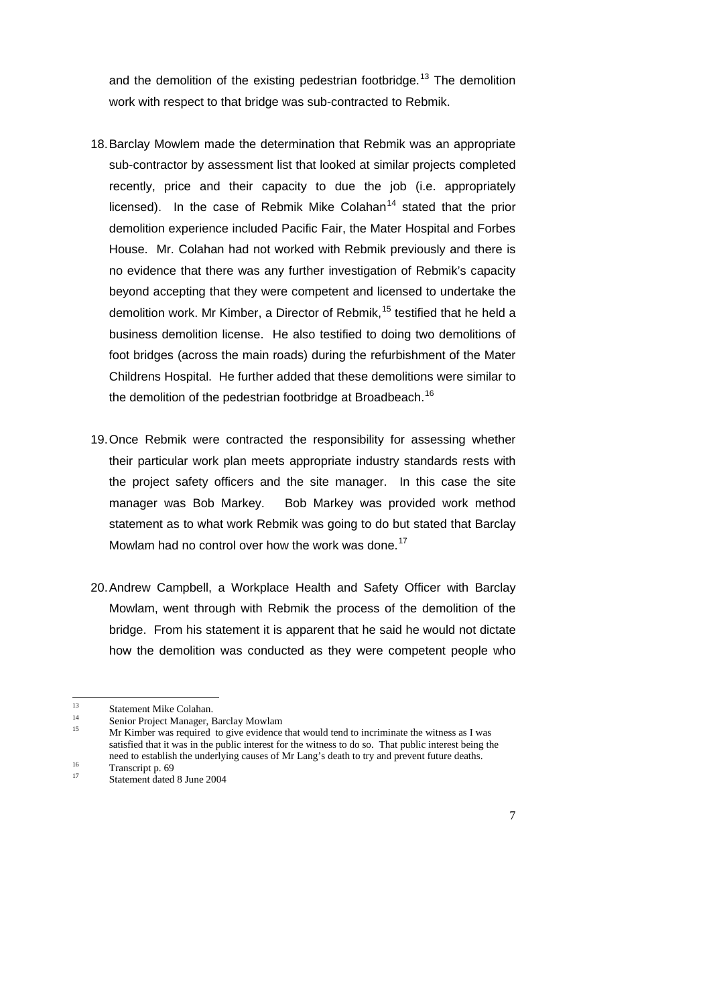and the demolition of the existing pedestrian footbridge.<sup>13</sup> The demolition work with respect to that bridge was sub-contracted to Rebmik.

- 18. Barclay Mowlem made the determination that Rebmik was an appropriate sub-contractor by assessment list that looked at similar projects completed recently, price and their capacity to due the job (i.e. appropriately licensed). In the case of Rebmik Mike Colahan<sup>14</sup> stated that the prior demolition experience included Pacific Fair, the Mater Hospital and Forbes House. Mr. Colahan had not worked with Rebmik previously and there is no evidence that there was any further investigation of Rebmik's capacity beyond accepting that they were competent and licensed to undertake the demolition work. Mr Kimber, a Director of Rebmik.<sup>15</sup> testified that he held a business demolition license. He also testified to doing two demolitions of foot bridges (across the main roads) during the refurbishment of the Mater Childrens Hospital. He further added that these demolitions were similar to the demolition of the pedestrian footbridge at Broadbeach.<sup>[16](#page-6-3)</sup>
- 19. Once Rebmik were contracted the responsibility for assessing whether their particular work plan meets appropriate industry standards rests with the project safety officers and the site manager. In this case the site manager was Bob Markey. Bob Markey was provided work method statement as to what work Rebmik was going to do but stated that Barclay Mowlam had no control over how the work was done.<sup>[17](#page-6-4)</sup>
- 20. Andrew Campbell, a Workplace Health and Safety Officer with Barclay Mowlam, went through with Rebmik the process of the demolition of the bridge. From his statement it is apparent that he said he would not dictate how the demolition was conducted as they were competent people who

<sup>14</sup> Senior Project Manager, Barclay Mowlam<br><sup>15</sup> Mr Kimber was required to give evidence

 $13$  $13$  Statement Mike Colahan.

<sup>15</sup> Mr Kimber was required to give evidence that would tend to incriminate the witness as I was satisfied that it was in the public interest for the witness to do so. That public interest being the need to establish the underlying causes of Mr Lang's death to try and prevent future deaths.<br>Transcript p. 69<br> $\frac{17}{17}$ 

<span id="page-6-4"></span><span id="page-6-3"></span><span id="page-6-2"></span><span id="page-6-1"></span><span id="page-6-0"></span>Statement dated 8 June 2004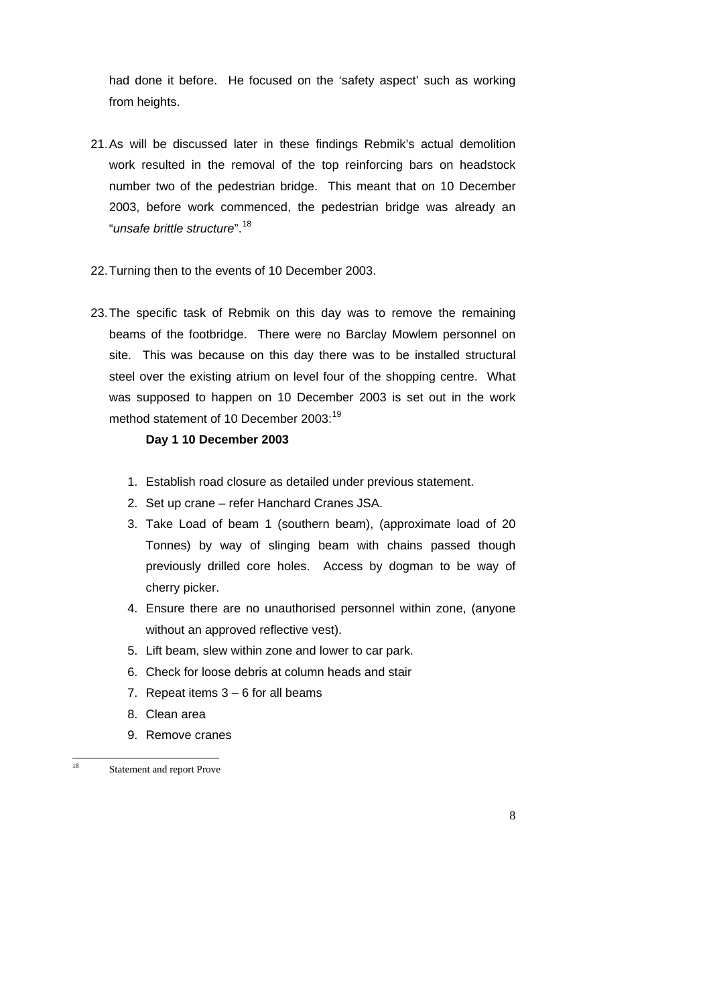had done it before. He focused on the 'safety aspect' such as working from heights.

- 21. As will be discussed later in these findings Rebmik's actual demolition work resulted in the removal of the top reinforcing bars on headstock number two of the pedestrian bridge. This meant that on 10 December 2003, before work commenced, the pedestrian bridge was already an "*unsafe brittle structure*".[18](#page-7-0)
- 22. Turning then to the events of 10 December 2003.
- 23. The specific task of Rebmik on this day was to remove the remaining beams of the footbridge. There were no Barclay Mowlem personnel on site. This was because on this day there was to be installed structural steel over the existing atrium on level four of the shopping centre. What was supposed to happen on 10 December 2003 is set out in the work method statement of 10 December 2003:<sup>19</sup>

# **Day 1 10 December 2003**

- 1. Establish road closure as detailed under previous statement.
- 2. Set up crane refer Hanchard Cranes JSA.
- 3. Take Load of beam 1 (southern beam), (approximate load of 20 Tonnes) by way of slinging beam with chains passed though previously drilled core holes. Access by dogman to be way of cherry picker.
- 4. Ensure there are no unauthorised personnel within zone, (anyone without an approved reflective vest).
- 5. Lift beam, slew within zone and lower to car park.
- 6. Check for loose debris at column heads and stair
- 7. Repeat items  $3 6$  for all beams
- 8. Clean area
- 9. Remove cranes

<span id="page-7-1"></span><span id="page-7-0"></span> $\overline{18}$ 

Statement and report Prove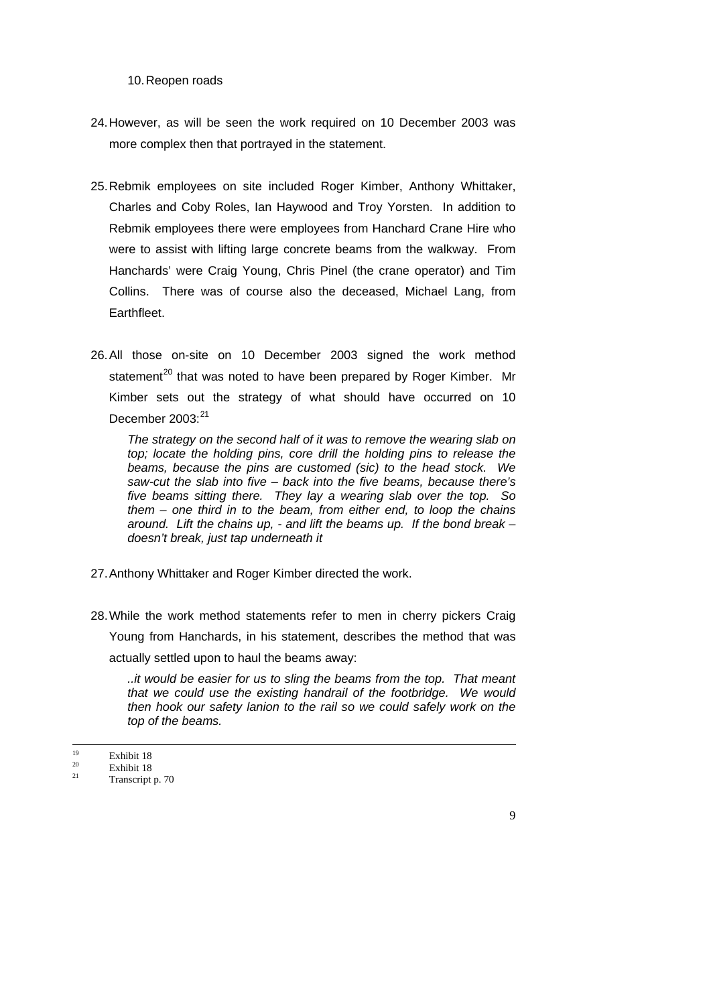10. Reopen roads

- 24. However, as will be seen the work required on 10 December 2003 was more complex then that portrayed in the statement.
- 25. Rebmik employees on site included Roger Kimber, Anthony Whittaker, Charles and Coby Roles, Ian Haywood and Troy Yorsten. In addition to Rebmik employees there were employees from Hanchard Crane Hire who were to assist with lifting large concrete beams from the walkway. From Hanchards' were Craig Young, Chris Pinel (the crane operator) and Tim Collins. There was of course also the deceased, Michael Lang, from **Earthfleet**
- 26. All those on-site on 10 December 2003 signed the work method statement<sup>[20](#page-8-0)</sup> that was noted to have been prepared by Roger Kimber. Mr Kimber sets out the strategy of what should have occurred on 10 December  $2003:^{21}$  $2003:^{21}$  $2003:^{21}$

*The strategy on the second half of it was to remove the wearing slab on top; locate the holding pins, core drill the holding pins to release the beams, because the pins are customed (sic) to the head stock. We saw-cut the slab into five – back into the five beams, because there's five beams sitting there. They lay a wearing slab over the top. So them – one third in to the beam, from either end, to loop the chains around. Lift the chains up, - and lift the beams up. If the bond break – doesn't break, just tap underneath it* 

- 27. Anthony Whittaker and Roger Kimber directed the work.
- 28. While the work method statements refer to men in cherry pickers Craig Young from Hanchards, in his statement, describes the method that was actually settled upon to haul the beams away:

*..it would be easier for us to sling the beams from the top. That meant that we could use the existing handrail of the footbridge. We would then hook our safety lanion to the rail so we could safely work on the top of the beams.* 

 $\frac{19}{20}$  Exhibit 18

 $\frac{20}{21}$  Exhibit 18

<span id="page-8-1"></span><span id="page-8-0"></span>Transcript p. 70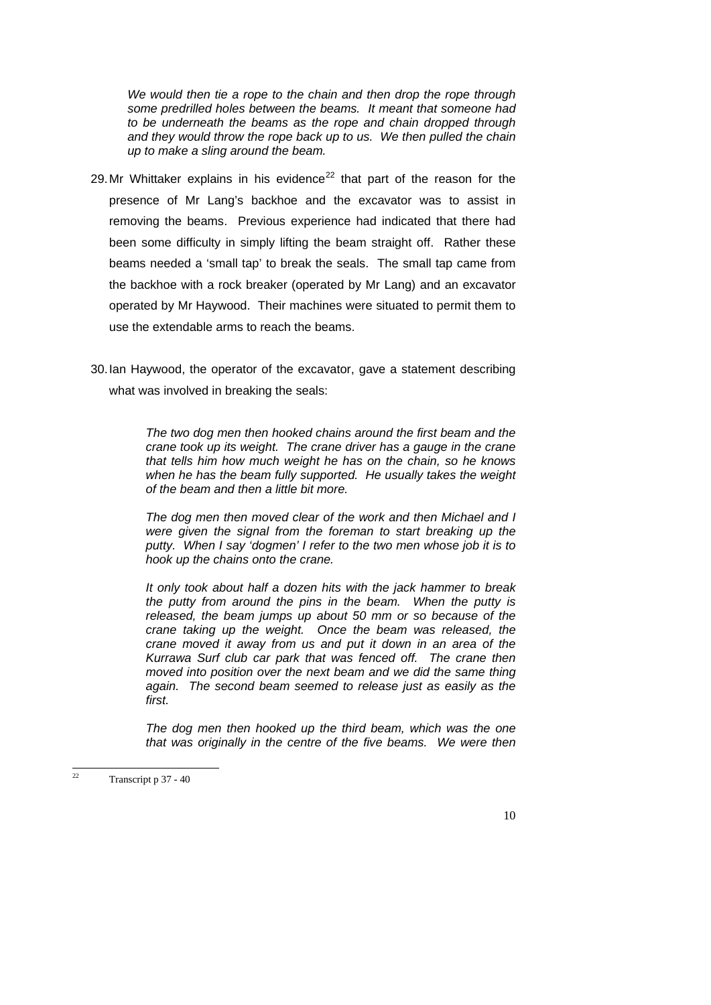*We would then tie a rope to the chain and then drop the rope through some predrilled holes between the beams. It meant that someone had to be underneath the beams as the rope and chain dropped through and they would throw the rope back up to us. We then pulled the chain up to make a sling around the beam.* 

- 29. Mr Whittaker explains in his evidence<sup>[22](#page-9-0)</sup> that part of the reason for the presence of Mr Lang's backhoe and the excavator was to assist in removing the beams. Previous experience had indicated that there had been some difficulty in simply lifting the beam straight off. Rather these beams needed a 'small tap' to break the seals. The small tap came from the backhoe with a rock breaker (operated by Mr Lang) and an excavator operated by Mr Haywood. Their machines were situated to permit them to use the extendable arms to reach the beams.
- 30. Ian Haywood, the operator of the excavator, gave a statement describing what was involved in breaking the seals:

*The two dog men then hooked chains around the first beam and the crane took up its weight. The crane driver has a gauge in the crane that tells him how much weight he has on the chain, so he knows when he has the beam fully supported. He usually takes the weight of the beam and then a little bit more.* 

*The dog men then moved clear of the work and then Michael and I were given the signal from the foreman to start breaking up the putty. When I say 'dogmen' I refer to the two men whose job it is to hook up the chains onto the crane.* 

*It only took about half a dozen hits with the jack hammer to break the putty from around the pins in the beam. When the putty is released, the beam jumps up about 50 mm or so because of the crane taking up the weight. Once the beam was released, the crane moved it away from us and put it down in an area of the Kurrawa Surf club car park that was fenced off. The crane then moved into position over the next beam and we did the same thing again. The second beam seemed to release just as easily as the first.* 

*The dog men then hooked up the third beam, which was the one that was originally in the centre of the five beams. We were then* 

<span id="page-9-0"></span> $\overline{\mathcal{D}}$ Transcript p 37 - 40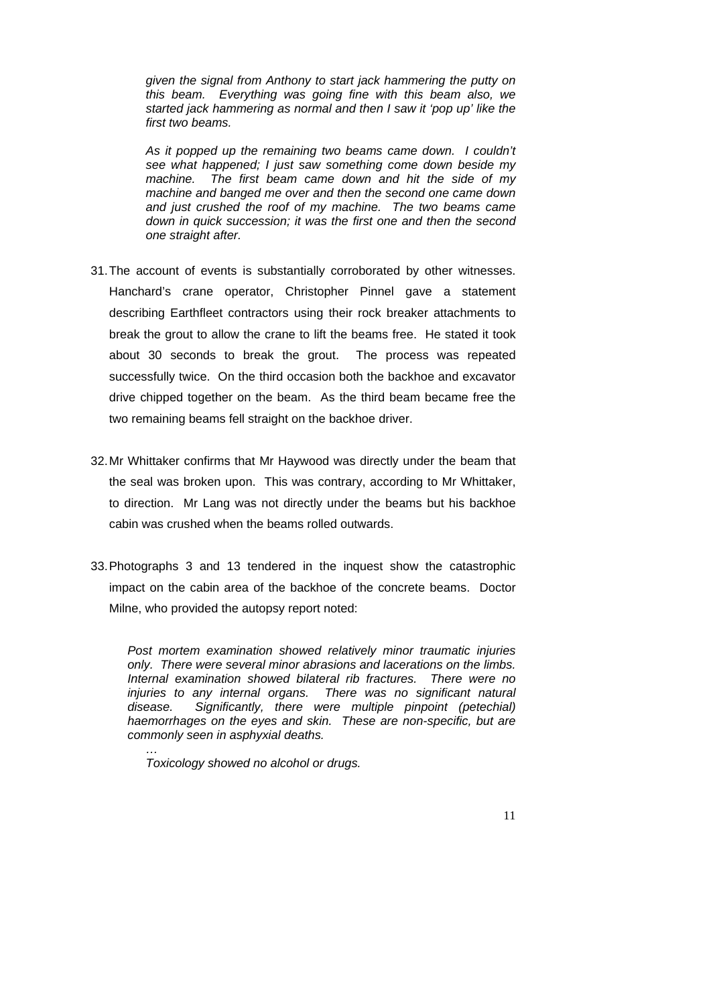*given the signal from Anthony to start jack hammering the putty on this beam. Everything was going fine with this beam also, we started jack hammering as normal and then I saw it 'pop up' like the first two beams.* 

*As it popped up the remaining two beams came down. I couldn't see what happened; I just saw something come down beside my machine. The first beam came down and hit the side of my machine and banged me over and then the second one came down and just crushed the roof of my machine. The two beams came down in quick succession; it was the first one and then the second one straight after.* 

- 31. The account of events is substantially corroborated by other witnesses. Hanchard's crane operator, Christopher Pinnel gave a statement describing Earthfleet contractors using their rock breaker attachments to break the grout to allow the crane to lift the beams free. He stated it took about 30 seconds to break the grout. The process was repeated successfully twice. On the third occasion both the backhoe and excavator drive chipped together on the beam. As the third beam became free the two remaining beams fell straight on the backhoe driver.
- 32. Mr Whittaker confirms that Mr Haywood was directly under the beam that the seal was broken upon. This was contrary, according to Mr Whittaker, to direction. Mr Lang was not directly under the beams but his backhoe cabin was crushed when the beams rolled outwards.
- 33. Photographs 3 and 13 tendered in the inquest show the catastrophic impact on the cabin area of the backhoe of the concrete beams. Doctor Milne, who provided the autopsy report noted:

*Post mortem examination showed relatively minor traumatic injuries only. There were several minor abrasions and lacerations on the limbs. Internal examination showed bilateral rib fractures. There were no*  injuries to any internal organs. There was no significant natural *disease. Significantly, there were multiple pinpoint (petechial) haemorrhages on the eyes and skin. These are non-specific, but are commonly seen in asphyxial deaths.* 

 *Toxicology showed no alcohol or drugs.* 

 *…*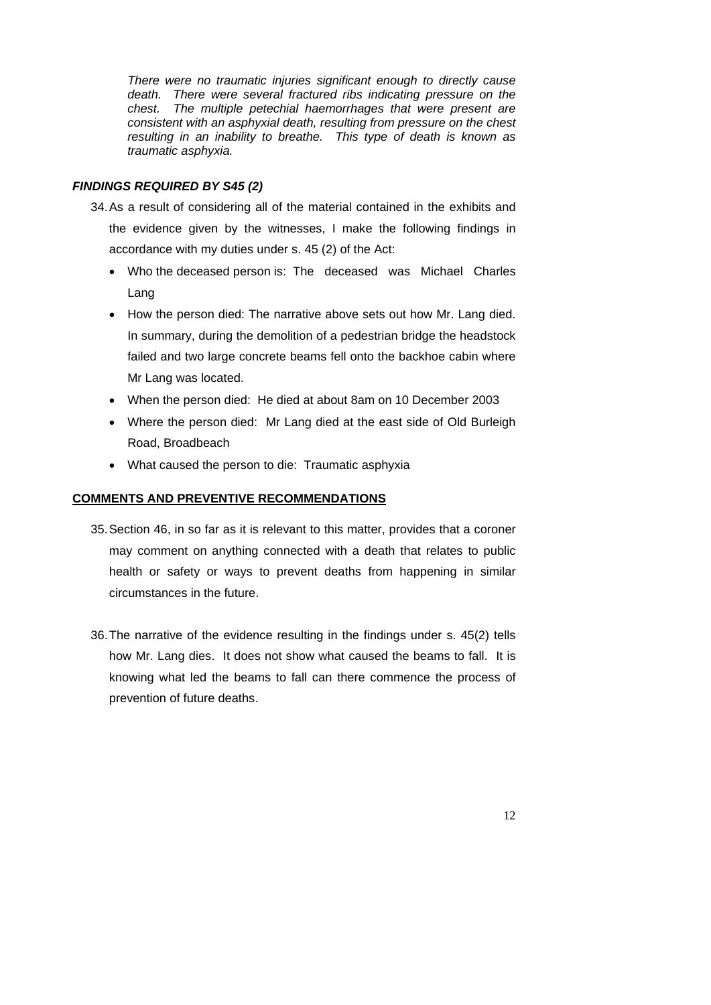*There were no traumatic injuries significant enough to directly cause death. There were several fractured ribs indicating pressure on the chest. The multiple petechial haemorrhages that were present are consistent with an asphyxial death, resulting from pressure on the chest resulting in an inability to breathe. This type of death is known as traumatic asphyxia.* 

## *FINDINGS REQUIRED BY S45 (2)*

- 34. As a result of considering all of the material contained in the exhibits and the evidence given by the witnesses, I make the following findings in accordance with my duties under s. 45 (2) of the Act:
	- Who the deceased person is: The deceased was Michael Charles Lang
	- How the person died: The narrative above sets out how Mr. Lang died. In summary, during the demolition of a pedestrian bridge the headstock failed and two large concrete beams fell onto the backhoe cabin where Mr Lang was located.
	- When the person died: He died at about 8am on 10 December 2003
	- Where the person died: Mr Lang died at the east side of Old Burleigh Road, Broadbeach
	- What caused the person to die: Traumatic asphyxia

#### **COMMENTS AND PREVENTIVE RECOMMENDATIONS**

- 35. Section 46, in so far as it is relevant to this matter, provides that a coroner may comment on anything connected with a death that relates to public health or safety or ways to prevent deaths from happening in similar circumstances in the future.
- 36. The narrative of the evidence resulting in the findings under s. 45(2) tells how Mr. Lang dies. It does not show what caused the beams to fall. It is knowing what led the beams to fall can there commence the process of prevention of future deaths.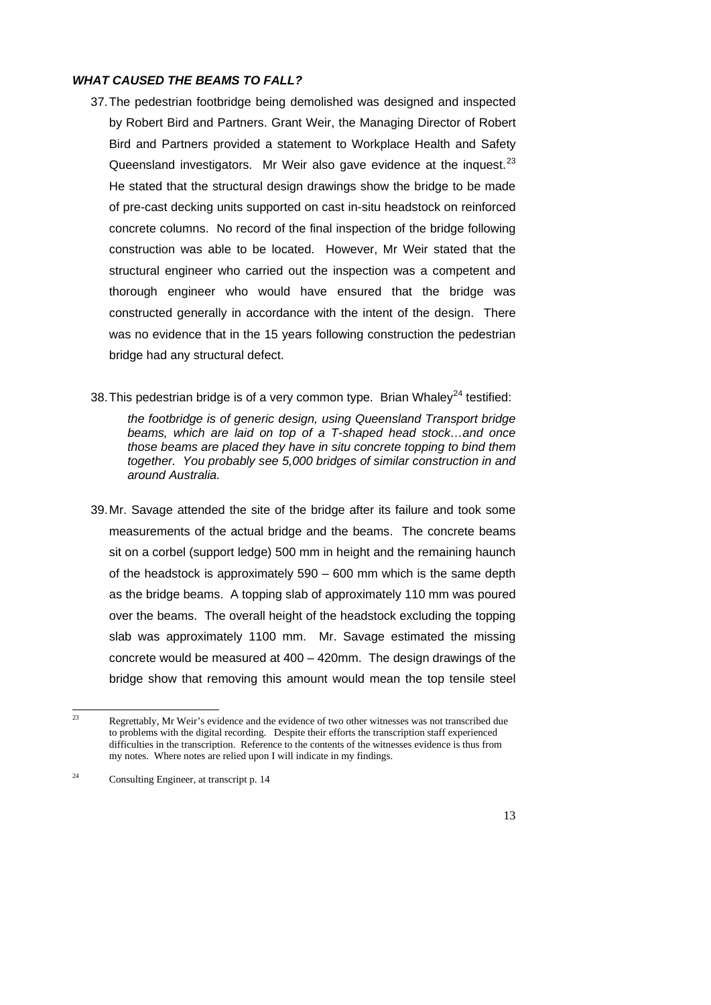#### *WHAT CAUSED THE BEAMS TO FALL?*

- 37. The pedestrian footbridge being demolished was designed and inspected by Robert Bird and Partners. Grant Weir, the Managing Director of Robert Bird and Partners provided a statement to Workplace Health and Safety Queensland investigators. Mr Weir also gave evidence at the inquest.  $23$ He stated that the structural design drawings show the bridge to be made of pre-cast decking units supported on cast in-situ headstock on reinforced concrete columns. No record of the final inspection of the bridge following construction was able to be located. However, Mr Weir stated that the structural engineer who carried out the inspection was a competent and thorough engineer who would have ensured that the bridge was constructed generally in accordance with the intent of the design. There was no evidence that in the 15 years following construction the pedestrian bridge had any structural defect.
- 38. This pedestrian bridge is of a very common type. Brian Whaley<sup>24</sup> testified:

*the footbridge is of generic design, using Queensland Transport bridge beams, which are laid on top of a T-shaped head stock…and once those beams are placed they have in situ concrete topping to bind them together. You probably see 5,000 bridges of similar construction in and around Australia.* 

39. Mr. Savage attended the site of the bridge after its failure and took some measurements of the actual bridge and the beams. The concrete beams sit on a corbel (support ledge) 500 mm in height and the remaining haunch of the headstock is approximately 590 – 600 mm which is the same depth as the bridge beams. A topping slab of approximately 110 mm was poured over the beams. The overall height of the headstock excluding the topping slab was approximately 1100 mm. Mr. Savage estimated the missing concrete would be measured at 400 – 420mm. The design drawings of the bridge show that removing this amount would mean the top tensile steel

 $\overline{2}$ Regrettably, Mr Weir's evidence and the evidence of two other witnesses was not transcribed due to problems with the digital recording. Despite their efforts the transcription staff experienced difficulties in the transcription. Reference to the contents of the witnesses evidence is thus from my notes. Where notes are relied upon I will indicate in my findings.

<span id="page-12-1"></span><span id="page-12-0"></span><sup>&</sup>lt;sup>24</sup> Consulting Engineer, at transcript p. 14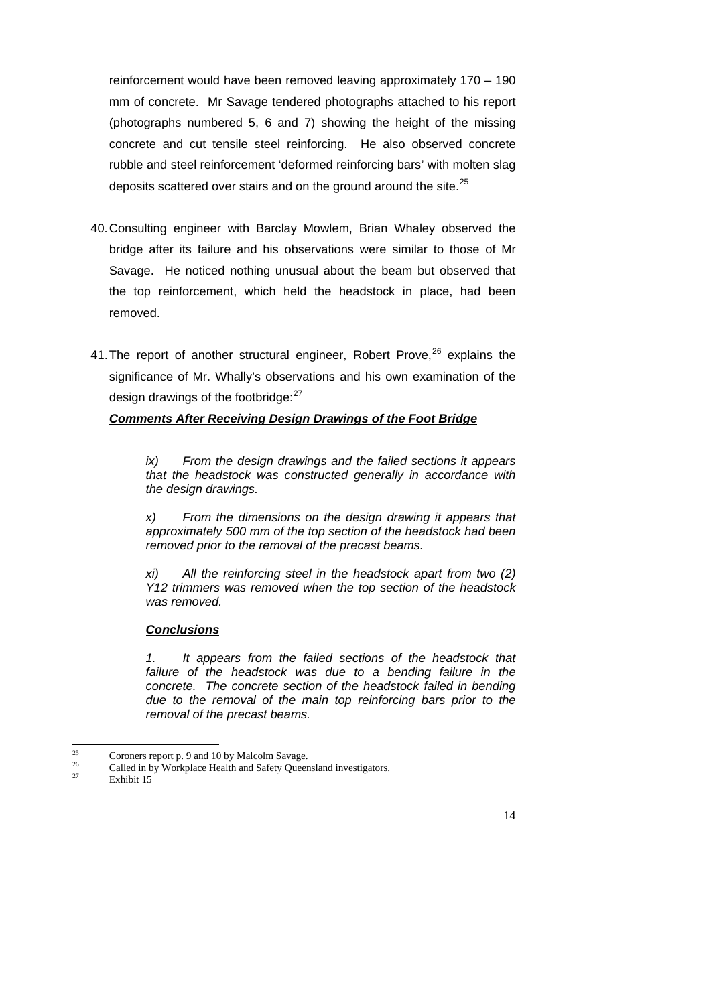reinforcement would have been removed leaving approximately 170 – 190 mm of concrete. Mr Savage tendered photographs attached to his report (photographs numbered 5, 6 and 7) showing the height of the missing concrete and cut tensile steel reinforcing. He also observed concrete rubble and steel reinforcement 'deformed reinforcing bars' with molten slag deposits scattered over stairs and on the ground around the site.<sup>[25](#page-13-0)</sup>

- 40. Consulting engineer with Barclay Mowlem, Brian Whaley observed the bridge after its failure and his observations were similar to those of Mr Savage. He noticed nothing unusual about the beam but observed that the top reinforcement, which held the headstock in place, had been removed.
- 41. The report of another structural engineer, Robert Prove,  $26$  explains the significance of Mr. Whally's observations and his own examination of the design drawings of the footbridge: $27$

## *Comments After Receiving Design Drawings of the Foot Bridge*

*ix) From the design drawings and the failed sections it appears that the headstock was constructed generally in accordance with the design drawings.* 

*x) From the dimensions on the design drawing it appears that approximately 500 mm of the top section of the headstock had been removed prior to the removal of the precast beams.* 

*xi) All the reinforcing steel in the headstock apart from two (2) Y12 trimmers was removed when the top section of the headstock was removed.* 

#### *Conclusions*

*1. It appears from the failed sections of the headstock that failure of the headstock was due to a bending failure in the concrete. The concrete section of the headstock failed in bending due to the removal of the main top reinforcing bars prior to the removal of the precast beams.* 

<sup>25</sup> <sup>25</sup> Coroners report p. 9 and 10 by Malcolm Savage.

<sup>&</sup>lt;sup>26</sup> Called in by Workplace Health and Safety Queensland investigators.

<span id="page-13-2"></span><span id="page-13-1"></span><span id="page-13-0"></span>Exhibit 15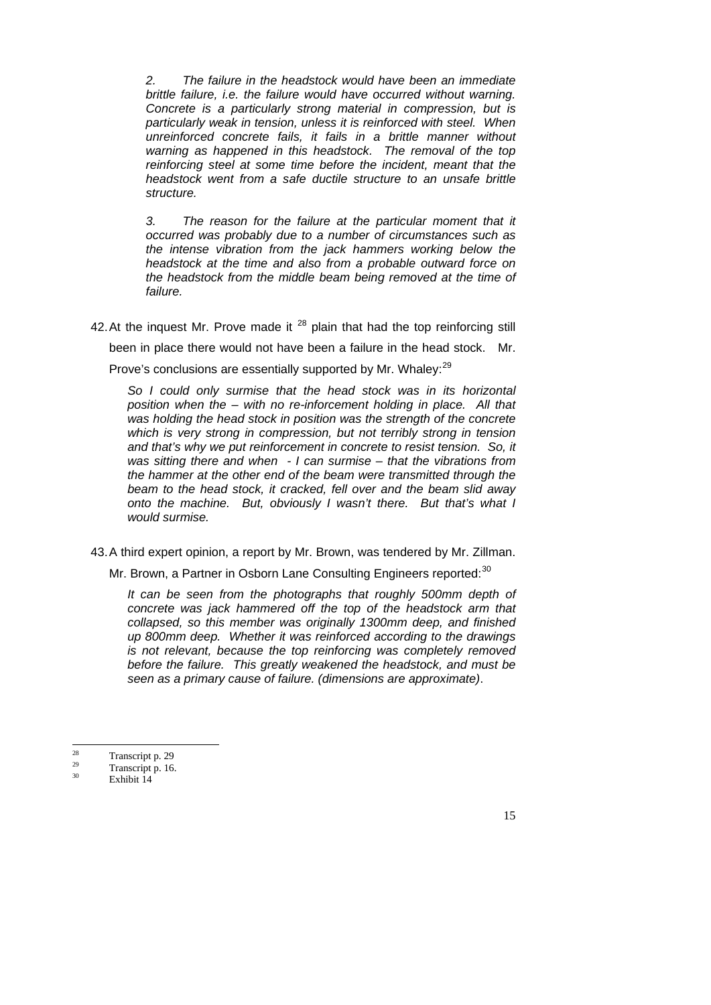*2. The failure in the headstock would have been an immediate brittle failure, i.e. the failure would have occurred without warning. Concrete is a particularly strong material in compression, but is particularly weak in tension, unless it is reinforced with steel. When unreinforced concrete fails, it fails in a brittle manner without warning as happened in this headstock. The removal of the top reinforcing steel at some time before the incident, meant that the headstock went from a safe ductile structure to an unsafe brittle structure.* 

 *3. The reason for the failure at the particular moment that it occurred was probably due to a number of circumstances such as the intense vibration from the jack hammers working below the headstock at the time and also from a probable outward force on the headstock from the middle beam being removed at the time of failure.* 

42. At the inquest Mr. Prove made it  $^{28}$  plain that had the top reinforcing still

been in place there would not have been a failure in the head stock. Mr.

Prove's conclusions are essentially supported by Mr. Whaley:<sup>[29](#page-14-1)</sup>

*So I could only surmise that the head stock was in its horizontal position when the – with no re-inforcement holding in place. All that was holding the head stock in position was the strength of the concrete which is very strong in compression, but not terribly strong in tension and that's why we put reinforcement in concrete to resist tension. So, it was sitting there and when - I can surmise – that the vibrations from the hammer at the other end of the beam were transmitted through the beam to the head stock, it cracked, fell over and the beam slid away onto the machine. But, obviously I wasn't there. But that's what I would surmise.* 

43. A third expert opinion, a report by Mr. Brown, was tendered by Mr. Zillman.

Mr. Brown, a Partner in Osborn Lane Consulting Engineers reported:<sup>[30](#page-14-2)</sup>

*It can be seen from the photographs that roughly 500mm depth of concrete was jack hammered off the top of the headstock arm that collapsed, so this member was originally 1300mm deep, and finished up 800mm deep. Whether it was reinforced according to the drawings is not relevant, because the top reinforcing was completely removed before the failure. This greatly weakened the headstock, and must be seen as a primary cause of failure. (dimensions are approximate)*.

 $28$  $\frac{28}{29}$  Transcript p. 29

 $\frac{29}{30}$  Transcript p. 16.

<span id="page-14-2"></span><span id="page-14-1"></span><span id="page-14-0"></span>Exhibit 14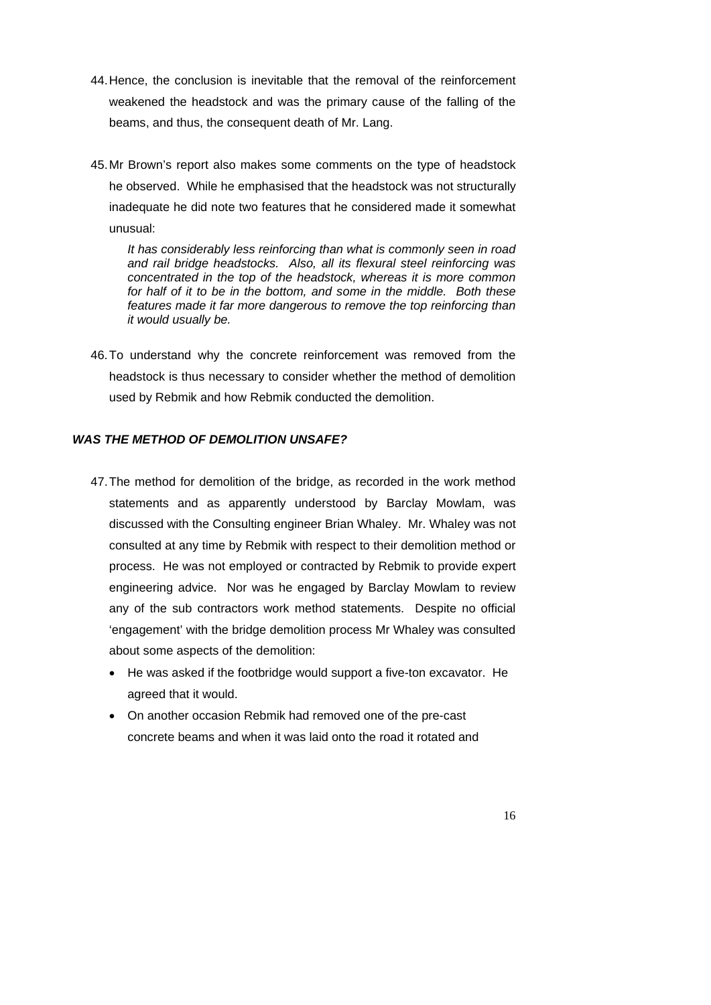- 44. Hence, the conclusion is inevitable that the removal of the reinforcement weakened the headstock and was the primary cause of the falling of the beams, and thus, the consequent death of Mr. Lang.
- 45. Mr Brown's report also makes some comments on the type of headstock he observed. While he emphasised that the headstock was not structurally inadequate he did note two features that he considered made it somewhat unusual:

*It has considerably less reinforcing than what is commonly seen in road and rail bridge headstocks. Also, all its flexural steel reinforcing was concentrated in the top of the headstock, whereas it is more common for half of it to be in the bottom, and some in the middle. Both these features made it far more dangerous to remove the top reinforcing than it would usually be.* 

46. To understand why the concrete reinforcement was removed from the headstock is thus necessary to consider whether the method of demolition used by Rebmik and how Rebmik conducted the demolition.

## *WAS THE METHOD OF DEMOLITION UNSAFE?*

- 47. The method for demolition of the bridge, as recorded in the work method statements and as apparently understood by Barclay Mowlam, was discussed with the Consulting engineer Brian Whaley. Mr. Whaley was not consulted at any time by Rebmik with respect to their demolition method or process. He was not employed or contracted by Rebmik to provide expert engineering advice. Nor was he engaged by Barclay Mowlam to review any of the sub contractors work method statements. Despite no official 'engagement' with the bridge demolition process Mr Whaley was consulted about some aspects of the demolition:
	- He was asked if the footbridge would support a five-ton excavator. He agreed that it would.
	- On another occasion Rebmik had removed one of the pre-cast concrete beams and when it was laid onto the road it rotated and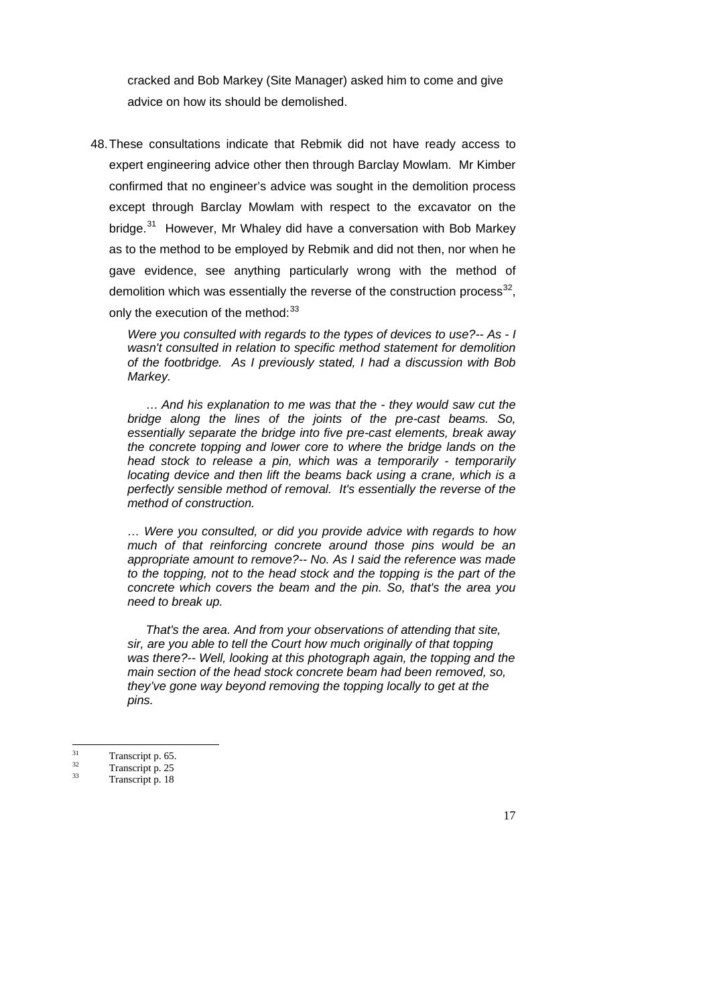cracked and Bob Markey (Site Manager) asked him to come and give advice on how its should be demolished.

48. These consultations indicate that Rebmik did not have ready access to expert engineering advice other then through Barclay Mowlam. Mr Kimber confirmed that no engineer's advice was sought in the demolition process except through Barclay Mowlam with respect to the excavator on the bridge.<sup>31</sup> However, Mr Whaley did have a conversation with Bob Markey as to the method to be employed by Rebmik and did not then, nor when he gave evidence, see anything particularly wrong with the method of demolition which was essentially the reverse of the construction process<sup>[32](#page-16-1)</sup>, only the execution of the method: 33

*Were you consulted with regards to the types of devices to use?-- As - I wasn't consulted in relation to specific method statement for demolition of the footbridge. As I previously stated, I had a discussion with Bob Markey.*

 … *And his explanation to me was that the - they would saw cut the bridge along the lines of the joints of the pre-cast beams. So, essentially separate the bridge into five pre-cast elements, break away the concrete topping and lower core to where the bridge lands on the head stock to release a pin, which was a temporarily - temporarily locating device and then lift the beams back using a crane, which is a perfectly sensible method of removal. It's essentially the reverse of the method of construction.* 

*… Were you consulted, or did you provide advice with regards to how much of that reinforcing concrete around those pins would be an appropriate amount to remove?-- No. As I said the reference was made*  to the topping, not to the head stock and the topping is the part of the *concrete which covers the beam and the pin. So, that's the area you need to break up.* 

 *That's the area. And from your observations of attending that site, sir, are you able to tell the Court how much originally of that topping was there?-- Well, looking at this photograph again, the topping and the main section of the head stock concrete beam had been removed, so, they've gone way beyond removing the topping locally to get at the pins.* 

 $31$  $\frac{31}{32}$  Transcript p. 65.

 $\frac{32}{33}$  Transcript p. 25

<span id="page-16-2"></span><span id="page-16-1"></span><span id="page-16-0"></span>Transcript p. 18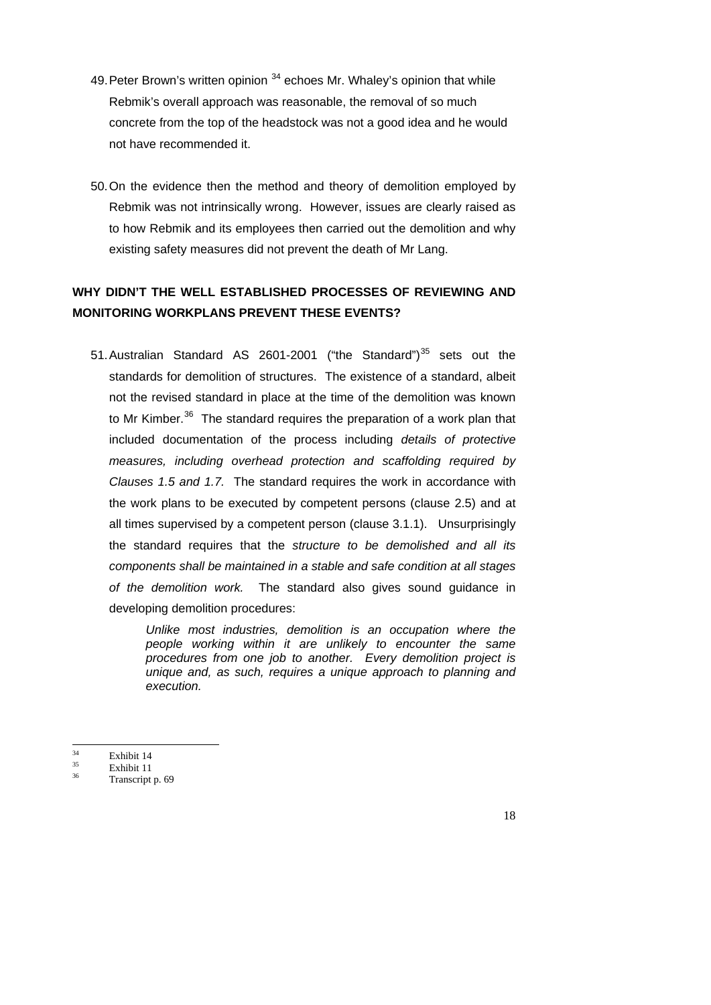- 49. Peter Brown's written opinion  $34$  echoes Mr. Whaley's opinion that while Rebmik's overall approach was reasonable, the removal of so much concrete from the top of the headstock was not a good idea and he would not have recommended it.
- 50. On the evidence then the method and theory of demolition employed by Rebmik was not intrinsically wrong. However, issues are clearly raised as to how Rebmik and its employees then carried out the demolition and why existing safety measures did not prevent the death of Mr Lang.

# **WHY DIDN'T THE WELL ESTABLISHED PROCESSES OF REVIEWING AND MONITORING WORKPLANS PREVENT THESE EVENTS?**

51. Australian Standard AS 2601-2001 ("the Standard")<sup>[35](#page-17-1)</sup> sets out the standards for demolition of structures. The existence of a standard, albeit not the revised standard in place at the time of the demolition was known to Mr Kimber.<sup>[36](#page-17-2)</sup> The standard requires the preparation of a work plan that included documentation of the process including *details of protective measures, including overhead protection and scaffolding required by Clauses 1.5 and 1.7.* The standard requires the work in accordance with the work plans to be executed by competent persons (clause 2.5) and at all times supervised by a competent person (clause 3.1.1). Unsurprisingly the standard requires that the *structure to be demolished and all its components shall be maintained in a stable and safe condition at all stages of the demolition work.* The standard also gives sound guidance in developing demolition procedures:

> *Unlike most industries, demolition is an occupation where the people working within it are unlikely to encounter the same procedures from one job to another. Every demolition project is unique and, as such, requires a unique approach to planning and execution.*

- $rac{35}{36}$  Exhibit 11
- <span id="page-17-2"></span><span id="page-17-1"></span><span id="page-17-0"></span>Transcript p. 69

 $34$  $rac{34}{35}$  Exhibit 14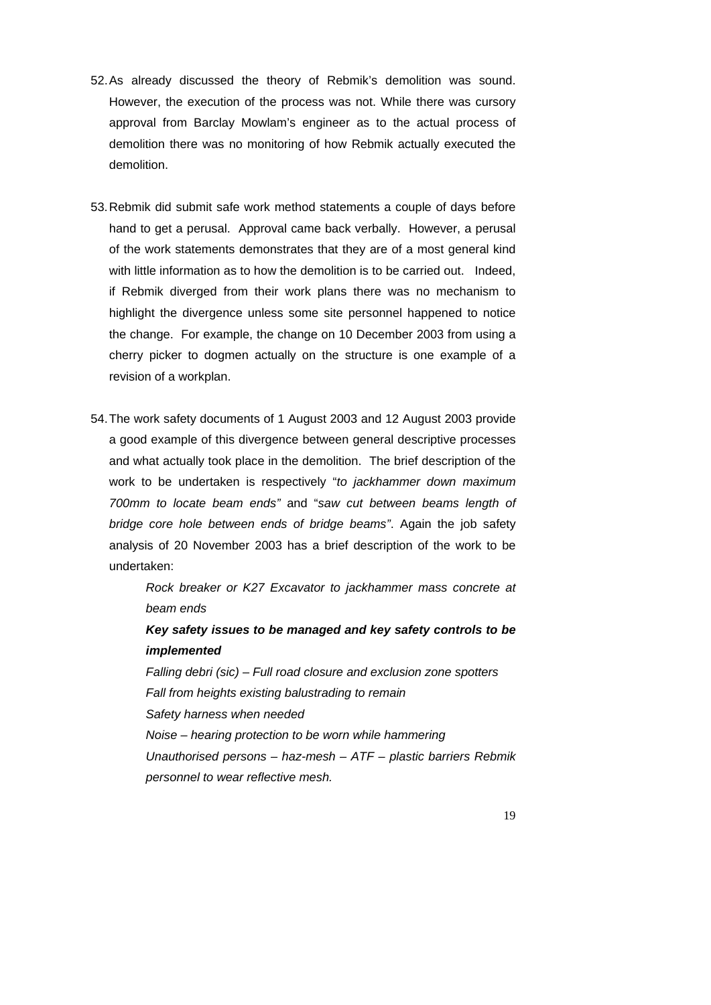- 52. As already discussed the theory of Rebmik's demolition was sound. However, the execution of the process was not. While there was cursory approval from Barclay Mowlam's engineer as to the actual process of demolition there was no monitoring of how Rebmik actually executed the demolition.
- 53. Rebmik did submit safe work method statements a couple of days before hand to get a perusal. Approval came back verbally. However, a perusal of the work statements demonstrates that they are of a most general kind with little information as to how the demolition is to be carried out. Indeed, if Rebmik diverged from their work plans there was no mechanism to highlight the divergence unless some site personnel happened to notice the change. For example, the change on 10 December 2003 from using a cherry picker to dogmen actually on the structure is one example of a revision of a workplan.
- 54. The work safety documents of 1 August 2003 and 12 August 2003 provide a good example of this divergence between general descriptive processes and what actually took place in the demolition. The brief description of the work to be undertaken is respectively "*to jackhammer down maximum 700mm to locate beam ends"* and "*saw cut between beams length of bridge core hole between ends of bridge beams"*. Again the job safety analysis of 20 November 2003 has a brief description of the work to be undertaken:

*Rock breaker or K27 Excavator to jackhammer mass concrete at beam ends* 

*Key safety issues to be managed and key safety controls to be implemented* 

*Falling debri (sic) – Full road closure and exclusion zone spotters Fall from heights existing balustrading to remain Safety harness when needed Noise – hearing protection to be worn while hammering Unauthorised persons – haz-mesh – ATF – plastic barriers Rebmik personnel to wear reflective mesh.*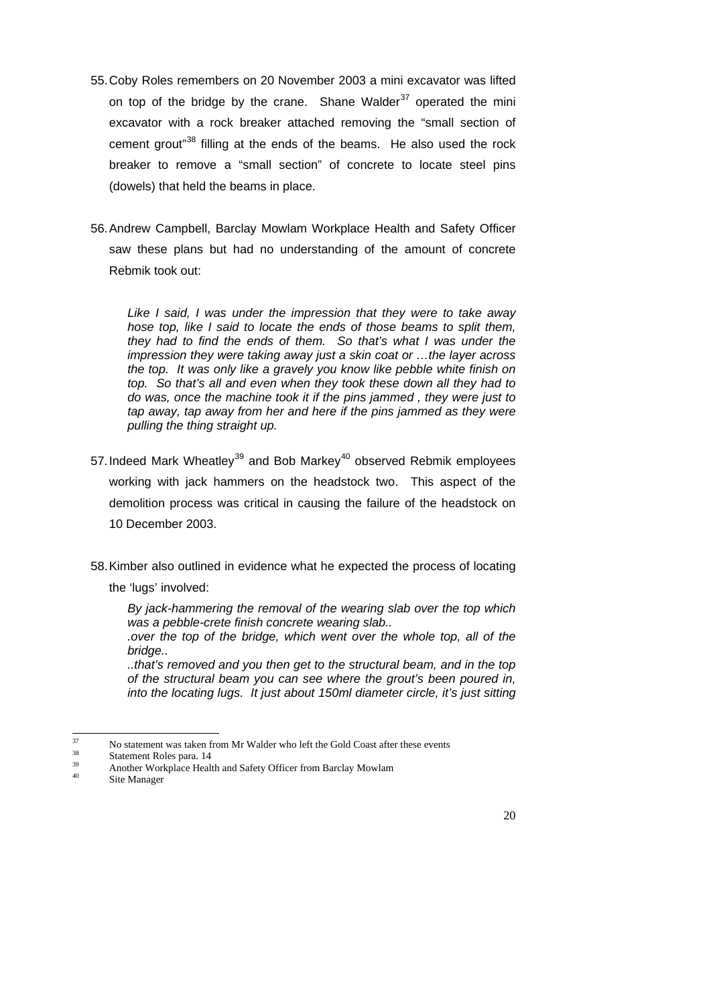- 55. Coby Roles remembers on 20 November 2003 a mini excavator was lifted on top of the bridge by the crane. Shane Walder<sup>[37](#page-19-0)</sup> operated the mini excavator with a rock breaker attached removing the "small section of cement grout<sup>"[38](#page-19-1)</sup> filling at the ends of the beams. He also used the rock breaker to remove a "small section" of concrete to locate steel pins (dowels) that held the beams in place.
- 56. Andrew Campbell, Barclay Mowlam Workplace Health and Safety Officer saw these plans but had no understanding of the amount of concrete Rebmik took out:

*Like I said, I was under the impression that they were to take away hose top, like I said to locate the ends of those beams to split them, they had to find the ends of them. So that's what I was under the impression they were taking away just a skin coat or …the layer across the top. It was only like a gravely you know like pebble white finish on top. So that's all and even when they took these down all they had to do was, once the machine took it if the pins jammed , they were just to tap away, tap away from her and here if the pins jammed as they were pulling the thing straight up.* 

- 57. Indeed Mark Wheatley<sup>[39](#page-19-2)</sup> and Bob Markey<sup>[40](#page-19-3)</sup> observed Rebmik employees working with jack hammers on the headstock two. This aspect of the demolition process was critical in causing the failure of the headstock on 10 December 2003.
- 58. Kimber also outlined in evidence what he expected the process of locating the 'lugs' involved:

*By jack-hammering the removal of the wearing slab over the top which was a pebble-crete finish concrete wearing slab..* 

 *.over the top of the bridge, which went over the whole top, all of the bridge..* 

 *..that's removed and you then get to the structural beam, and in the top of the structural beam you can see where the grout's been poured in, into the locating lugs. It just about 150ml diameter circle, it's just sitting* 

 $37$  $37$  No statement was taken from Mr Walder who left the Gold Coast after these events

 $38$  Statement Roles para. 14

<sup>&</sup>lt;sup>39</sup> Another Workplace Health and Safety Officer from Barclay Mowlam

<span id="page-19-3"></span><span id="page-19-2"></span><span id="page-19-1"></span><span id="page-19-0"></span>Site Manager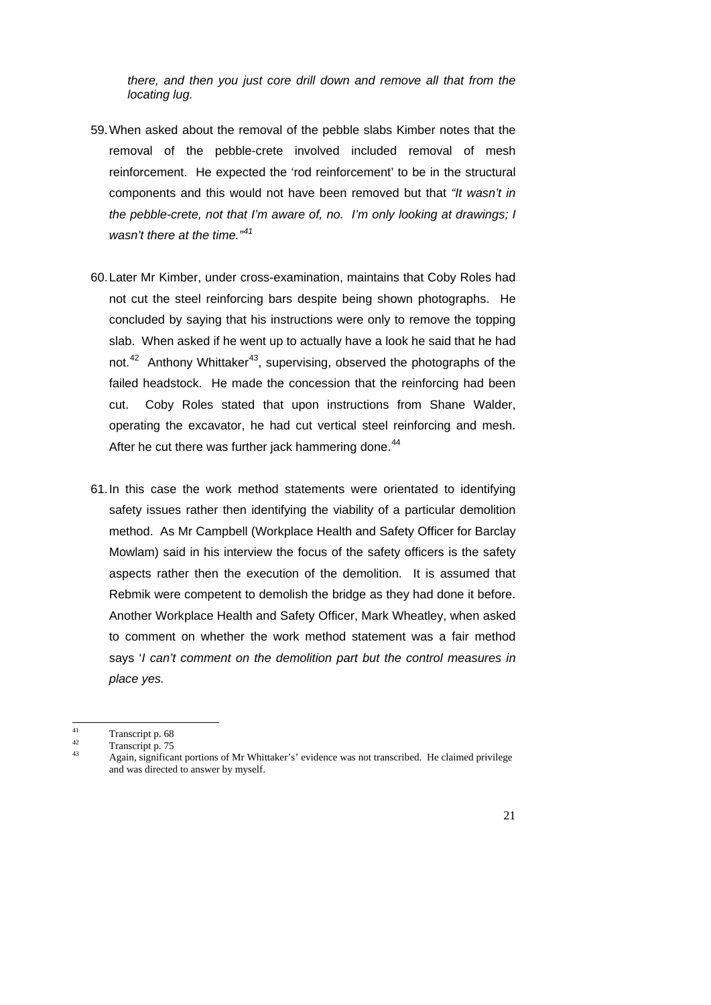*there, and then you just core drill down and remove all that from the locating lug.* 

- 59. When asked about the removal of the pebble slabs Kimber notes that the removal of the pebble-crete involved included removal of mesh reinforcement. He expected the 'rod reinforcement' to be in the structural components and this would not have been removed but that *"It wasn't in the pebble-crete, not that I'm aware of, no. I'm only looking at drawings; I wasn't there at the time."[41](#page-20-0)*
- 60. Later Mr Kimber, under cross-examination, maintains that Coby Roles had not cut the steel reinforcing bars despite being shown photographs. He concluded by saying that his instructions were only to remove the topping slab. When asked if he went up to actually have a look he said that he had not.<sup>42</sup> Anthony Whittaker<sup>[43](#page-20-2)</sup>, supervising, observed the photographs of the failed headstock. He made the concession that the reinforcing had been cut. Coby Roles stated that upon instructions from Shane Walder, operating the excavator, he had cut vertical steel reinforcing and mesh. After he cut there was further jack hammering done.<sup>[44](#page-20-3)</sup>
- 61. In this case the work method statements were orientated to identifying safety issues rather then identifying the viability of a particular demolition method. As Mr Campbell (Workplace Health and Safety Officer for Barclay Mowlam) said in his interview the focus of the safety officers is the safety aspects rather then the execution of the demolition. It is assumed that Rebmik were competent to demolish the bridge as they had done it before. Another Workplace Health and Safety Officer, Mark Wheatley, when asked to comment on whether the work method statement was a fair method says '*I can't comment on the demolition part but the control measures in place yes.*

 $41$  $\frac{41}{42}$  Transcript p. 68

 $\frac{42}{43}$  Transcript p. 75

<span id="page-20-3"></span><span id="page-20-2"></span><span id="page-20-1"></span><span id="page-20-0"></span><sup>43</sup> Again, significant portions of Mr Whittaker's' evidence was not transcribed. He claimed privilege and was directed to answer by myself.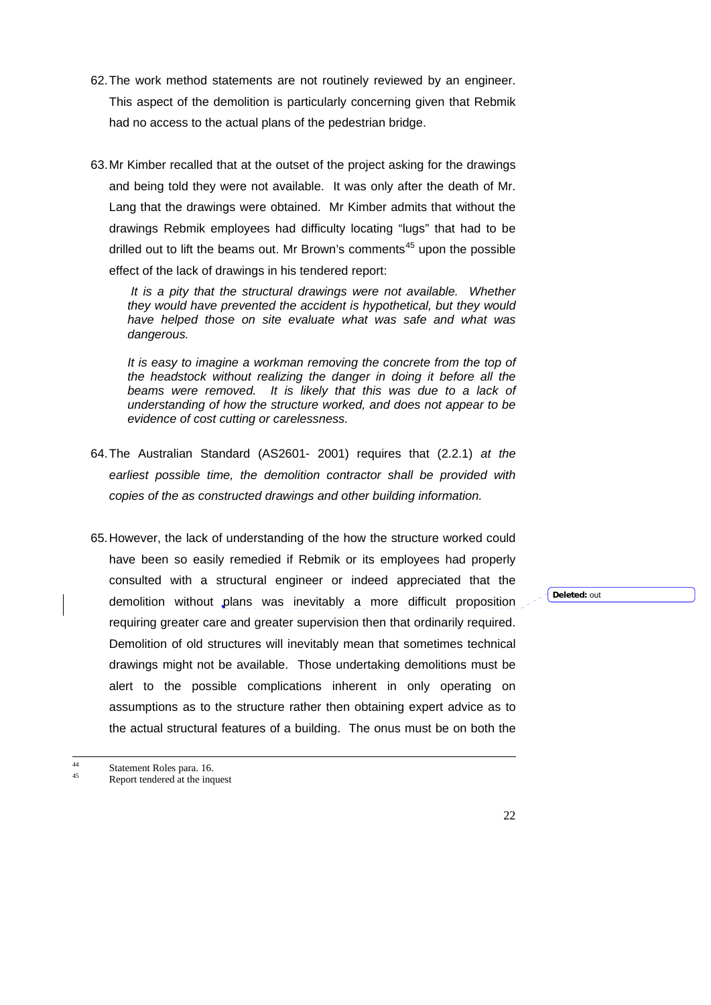- 62. The work method statements are not routinely reviewed by an engineer. This aspect of the demolition is particularly concerning given that Rebmik had no access to the actual plans of the pedestrian bridge.
- 63. Mr Kimber recalled that at the outset of the project asking for the drawings and being told they were not available. It was only after the death of Mr. Lang that the drawings were obtained. Mr Kimber admits that without the drawings Rebmik employees had difficulty locating "lugs" that had to be drilled out to lift the beams out. Mr Brown's comments<sup>[45](#page-21-0)</sup> upon the possible effect of the lack of drawings in his tendered report:

 *It is a pity that the structural drawings were not available. Whether they would have prevented the accident is hypothetical, but they would have helped those on site evaluate what was safe and what was dangerous.* 

 *It is easy to imagine a workman removing the concrete from the top of the headstock without realizing the danger in doing it before all the*  beams were removed. It is likely that this was due to a lack of *understanding of how the structure worked, and does not appear to be evidence of cost cutting or carelessness.* 

- 64. The Australian Standard (AS2601- 2001) requires that (2.2.1) *at the earliest possible time, the demolition contractor shall be provided with copies of the as constructed drawings and other building information.*
- 65. However, the lack of understanding of the how the structure worked could have been so easily remedied if Rebmik or its employees had properly consulted with a structural engineer or indeed appreciated that the demolition without plans was inevitably a more difficult proposition requiring greater care and greater supervision then that ordinarily required. Demolition of old structures will inevitably mean that sometimes technical drawings might not be available. Those undertaking demolitions must be alert to the possible complications inherent in only operating on assumptions as to the structure rather then obtaining expert advice as to the actual structural features of a building. The onus must be on both the

**Deleted:** out

<span id="page-21-0"></span><sup>44</sup> Statement Roles para. 16. Report tendered at the inquest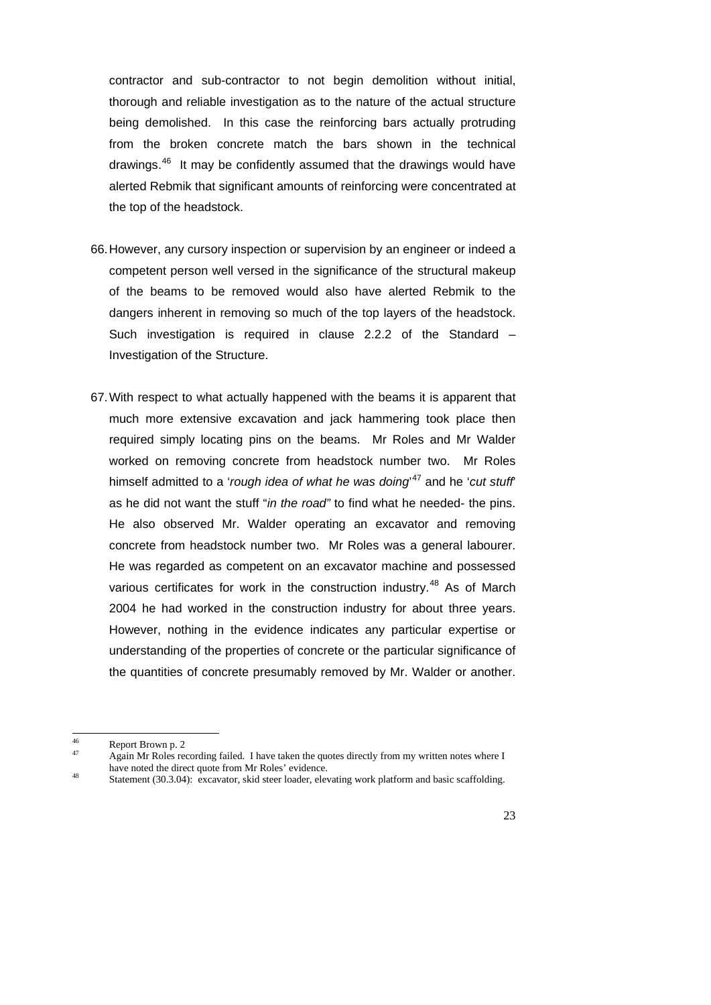contractor and sub-contractor to not begin demolition without initial, thorough and reliable investigation as to the nature of the actual structure being demolished. In this case the reinforcing bars actually protruding from the broken concrete match the bars shown in the technical drawings.[46](#page-22-0) It may be confidently assumed that the drawings would have alerted Rebmik that significant amounts of reinforcing were concentrated at the top of the headstock.

- 66. However, any cursory inspection or supervision by an engineer or indeed a competent person well versed in the significance of the structural makeup of the beams to be removed would also have alerted Rebmik to the dangers inherent in removing so much of the top layers of the headstock. Such investigation is required in clause 2.2.2 of the Standard – Investigation of the Structure.
- 67. With respect to what actually happened with the beams it is apparent that much more extensive excavation and jack hammering took place then required simply locating pins on the beams. Mr Roles and Mr Walder worked on removing concrete from headstock number two. Mr Roles himself admitted to a '*rough idea of what he was doing*' [47](#page-22-1) and he '*cut stuff*' as he did not want the stuff "*in the road"* to find what he needed- the pins. He also observed Mr. Walder operating an excavator and removing concrete from headstock number two. Mr Roles was a general labourer. He was regarded as competent on an excavator machine and possessed various certificates for work in the construction industry.<sup>48</sup> As of March 2004 he had worked in the construction industry for about three years. However, nothing in the evidence indicates any particular expertise or understanding of the properties of concrete or the particular significance of the quantities of concrete presumably removed by Mr. Walder or another.

 $46$  $\frac{46}{47}$  Report Brown p. 2

Again Mr Roles recording failed. I have taken the quotes directly from my written notes where I have noted the direct quote from Mr Roles' evidence.

<span id="page-22-2"></span><span id="page-22-1"></span><span id="page-22-0"></span>have noted the direct quote from Mr Roles' evidence. 48 Statement (30.3.04): excavator, skid steer loader, elevating work platform and basic scaffolding.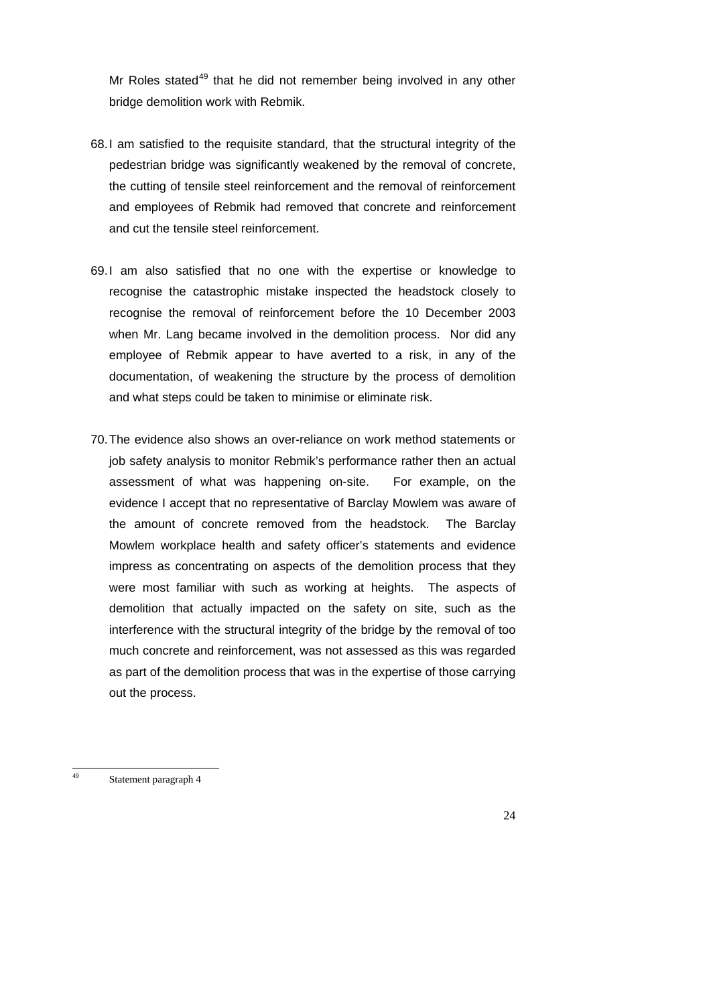Mr Roles stated $49$  that he did not remember being involved in any other bridge demolition work with Rebmik.

- 68. I am satisfied to the requisite standard, that the structural integrity of the pedestrian bridge was significantly weakened by the removal of concrete, the cutting of tensile steel reinforcement and the removal of reinforcement and employees of Rebmik had removed that concrete and reinforcement and cut the tensile steel reinforcement.
- 69. I am also satisfied that no one with the expertise or knowledge to recognise the catastrophic mistake inspected the headstock closely to recognise the removal of reinforcement before the 10 December 2003 when Mr. Lang became involved in the demolition process. Nor did any employee of Rebmik appear to have averted to a risk, in any of the documentation, of weakening the structure by the process of demolition and what steps could be taken to minimise or eliminate risk.
- 70. The evidence also shows an over-reliance on work method statements or job safety analysis to monitor Rebmik's performance rather then an actual assessment of what was happening on-site. For example, on the evidence I accept that no representative of Barclay Mowlem was aware of the amount of concrete removed from the headstock. The Barclay Mowlem workplace health and safety officer's statements and evidence impress as concentrating on aspects of the demolition process that they were most familiar with such as working at heights. The aspects of demolition that actually impacted on the safety on site, such as the interference with the structural integrity of the bridge by the removal of too much concrete and reinforcement, was not assessed as this was regarded as part of the demolition process that was in the expertise of those carrying out the process.

<span id="page-23-0"></span> $\overline{49}$ Statement paragraph 4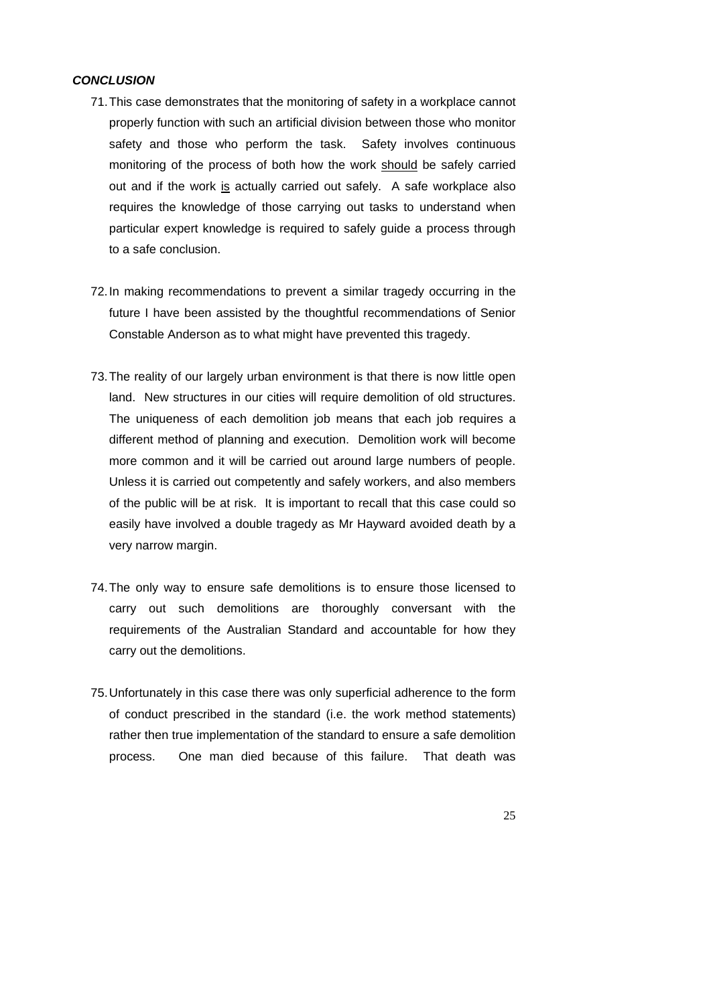#### *CONCLUSION*

- 71. This case demonstrates that the monitoring of safety in a workplace cannot properly function with such an artificial division between those who monitor safety and those who perform the task. Safety involves continuous monitoring of the process of both how the work should be safely carried out and if the work is actually carried out safely. A safe workplace also requires the knowledge of those carrying out tasks to understand when particular expert knowledge is required to safely guide a process through to a safe conclusion.
- 72. In making recommendations to prevent a similar tragedy occurring in the future I have been assisted by the thoughtful recommendations of Senior Constable Anderson as to what might have prevented this tragedy.
- 73. The reality of our largely urban environment is that there is now little open land. New structures in our cities will require demolition of old structures. The uniqueness of each demolition job means that each job requires a different method of planning and execution. Demolition work will become more common and it will be carried out around large numbers of people. Unless it is carried out competently and safely workers, and also members of the public will be at risk. It is important to recall that this case could so easily have involved a double tragedy as Mr Hayward avoided death by a very narrow margin.
- 74. The only way to ensure safe demolitions is to ensure those licensed to carry out such demolitions are thoroughly conversant with the requirements of the Australian Standard and accountable for how they carry out the demolitions.
- 75. Unfortunately in this case there was only superficial adherence to the form of conduct prescribed in the standard (i.e. the work method statements) rather then true implementation of the standard to ensure a safe demolition process. One man died because of this failure. That death was